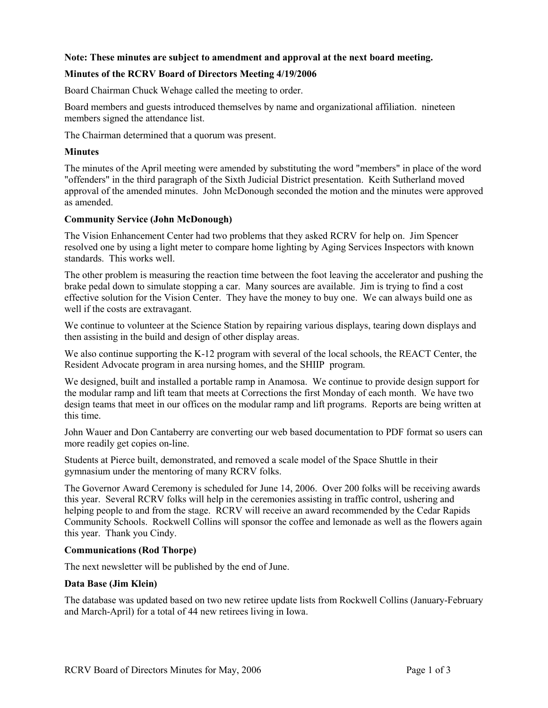# **Note: These minutes are subject to amendment and approval at the next board meeting.**

# **Minutes of the RCRV Board of Directors Meeting 4/19/2006**

Board Chairman Chuck Wehage called the meeting to order.

Board members and guests introduced themselves by name and organizational affiliation. nineteen members signed the attendance list.

The Chairman determined that a quorum was present.

# **Minutes**

The minutes of the April meeting were amended by substituting the word "members" in place of the word "offenders" in the third paragraph of the Sixth Judicial District presentation. Keith Sutherland moved approval of the amended minutes. John McDonough seconded the motion and the minutes were approved as amended.

# **Community Service (John McDonough)**

The Vision Enhancement Center had two problems that they asked RCRV for help on. Jim Spencer resolved one by using a light meter to compare home lighting by Aging Services Inspectors with known standards. This works well.

The other problem is measuring the reaction time between the foot leaving the accelerator and pushing the brake pedal down to simulate stopping a car. Many sources are available. Jim is trying to find a cost effective solution for the Vision Center. They have the money to buy one. We can always build one as well if the costs are extravagant.

We continue to volunteer at the Science Station by repairing various displays, tearing down displays and then assisting in the build and design of other display areas.

We also continue supporting the K-12 program with several of the local schools, the REACT Center, the Resident Advocate program in area nursing homes, and the SHIIP program.

We designed, built and installed a portable ramp in Anamosa. We continue to provide design support for the modular ramp and lift team that meets at Corrections the first Monday of each month. We have two design teams that meet in our offices on the modular ramp and lift programs. Reports are being written at this time.

John Wauer and Don Cantaberry are converting our web based documentation to PDF format so users can more readily get copies on-line.

Students at Pierce built, demonstrated, and removed a scale model of the Space Shuttle in their gymnasium under the mentoring of many RCRV folks.

The Governor Award Ceremony is scheduled for June 14, 2006. Over 200 folks will be receiving awards this year. Several RCRV folks will help in the ceremonies assisting in traffic control, ushering and helping people to and from the stage. RCRV will receive an award recommended by the Cedar Rapids Community Schools. Rockwell Collins will sponsor the coffee and lemonade as well as the flowers again this year. Thank you Cindy.

# **Communications (Rod Thorpe)**

The next newsletter will be published by the end of June.

# **Data Base (Jim Klein)**

The database was updated based on two new retiree update lists from Rockwell Collins (January-February and March-April) for a total of 44 new retirees living in Iowa.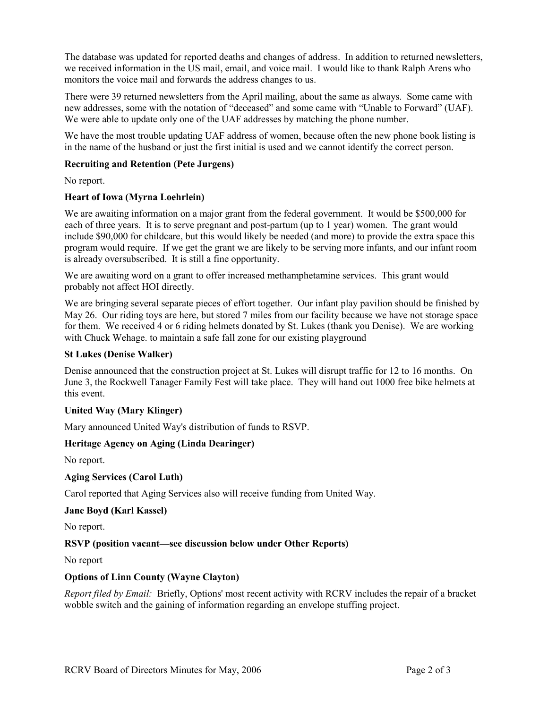The database was updated for reported deaths and changes of address. In addition to returned newsletters, we received information in the US mail, email, and voice mail. I would like to thank Ralph Arens who monitors the voice mail and forwards the address changes to us.

There were 39 returned newsletters from the April mailing, about the same as always. Some came with new addresses, some with the notation of "deceased" and some came with "Unable to Forward" (UAF). We were able to update only one of the UAF addresses by matching the phone number.

We have the most trouble updating UAF address of women, because often the new phone book listing is in the name of the husband or just the first initial is used and we cannot identify the correct person.

# **Recruiting and Retention (Pete Jurgens)**

No report.

# **Heart of Iowa (Myrna Loehrlein)**

We are awaiting information on a major grant from the federal government. It would be \$500,000 for each of three years. It is to serve pregnant and post-partum (up to 1 year) women. The grant would include \$90,000 for childcare, but this would likely be needed (and more) to provide the extra space this program would require. If we get the grant we are likely to be serving more infants, and our infant room is already oversubscribed. It is still a fine opportunity.

We are awaiting word on a grant to offer increased methamphetamine services. This grant would probably not affect HOI directly.

We are bringing several separate pieces of effort together. Our infant play pavilion should be finished by May 26. Our riding toys are here, but stored 7 miles from our facility because we have not storage space for them. We received 4 or 6 riding helmets donated by St. Lukes (thank you Denise). We are working with Chuck Wehage, to maintain a safe fall zone for our existing playground

# **St Lukes (Denise Walker)**

Denise announced that the construction project at St. Lukes will disrupt traffic for 12 to 16 months. On June 3, the Rockwell Tanager Family Fest will take place. They will hand out 1000 free bike helmets at this event.

# **United Way (Mary Klinger)**

Mary announced United Way's distribution of funds to RSVP.

# **Heritage Agency on Aging (Linda Dearinger)**

No report.

# **Aging Services (Carol Luth)**

Carol reported that Aging Services also will receive funding from United Way.

# **Jane Boyd (Karl Kassel)**

No report.

# **RSVP (position vacant—see discussion below under Other Reports)**

No report

# **Options of Linn County (Wayne Clayton)**

*Report filed by Email:* Briefly, Options' most recent activity with RCRV includes the repair of a bracket wobble switch and the gaining of information regarding an envelope stuffing project.